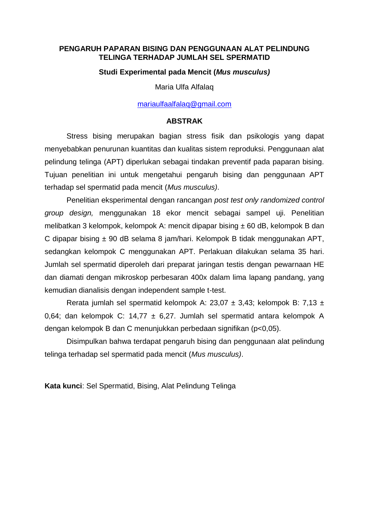## **PENGARUH PAPARAN BISING DAN PENGGUNAAN ALAT PELINDUNG TELINGA TERHADAP JUMLAH SEL SPERMATID**

## **Studi Experimental pada Mencit (***Mus musculus)*

Maria Ulfa Alfalaq

[mariaulfaalfalaq@gmail.com](mailto:mariaulfaalfalaq@gmail.com)

#### **ABSTRAK**

Stress bising merupakan bagian stress fisik dan psikologis yang dapat menyebabkan penurunan kuantitas dan kualitas sistem reproduksi. Penggunaan alat pelindung telinga (APT) diperlukan sebagai tindakan preventif pada paparan bising. Tujuan penelitian ini untuk mengetahui pengaruh bising dan penggunaan APT terhadap sel spermatid pada mencit (*Mus musculus)*.

Penelitian eksperimental dengan rancangan *post test only randomized control group design,* menggunakan 18 ekor mencit sebagai sampel uji. Penelitian melibatkan 3 kelompok, kelompok A: mencit dipapar bising ± 60 dB, kelompok B dan C dipapar bising ± 90 dB selama 8 jam/hari. Kelompok B tidak menggunakan APT, sedangkan kelompok C menggunakan APT. Perlakuan dilakukan selama 35 hari. Jumlah sel spermatid diperoleh dari preparat jaringan testis dengan pewarnaan HE dan diamati dengan mikroskop perbesaran 400x dalam lima lapang pandang, yang kemudian dianalisis dengan independent sample t-test.

Rerata jumlah sel spermatid kelompok A: 23,07 ± 3,43; kelompok B: 7,13 ± 0,64; dan kelompok C: 14,77 ± 6,27. Jumlah sel spermatid antara kelompok A dengan kelompok B dan C menunjukkan perbedaan signifikan (p<0,05).

Disimpulkan bahwa terdapat pengaruh bising dan penggunaan alat pelindung telinga terhadap sel spermatid pada mencit (*Mus musculus)*.

**Kata kunci**: Sel Spermatid, Bising, Alat Pelindung Telinga